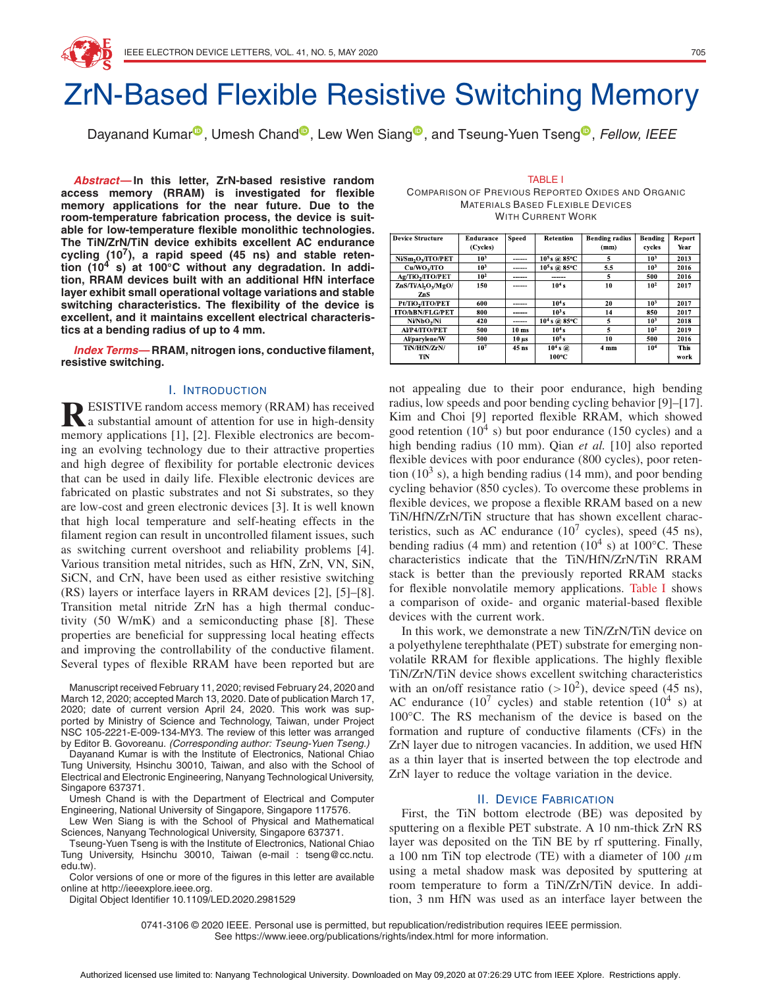# ZrN-Based Flexible Resistive Switching Memory

Dayanand Kuma[r](https://orcid.org/0000-0002-3840-6108)<sup>®</sup>, Umesh Chand<sup>®</sup>, Lew Wen Sian[g](https://orcid.org/0000-0003-1158-5289)<sup>®</sup>, and Tseung-Yuen Tseng<sup>®</sup>, Fellow, IEEE

**Abstract—In this letter, ZrN-based resistive random access memory (RRAM) is investigated for flexible memory applications for the near future. Due to the room-temperature fabrication process, the device is suitable for low-temperature flexible monolithic technologies. The TiN/ZrN/TiN device exhibits excellent AC endurance cycling (107), a rapid speed (45 ns) and stable retention (10<sup>4</sup> s) at 100◦C without any degradation. In addition, RRAM devices built with an additional HfN interface layer exhibit small operational voltage variations and stable switching characteristics. The flexibility of the device is excellent, and it maintains excellent electrical characteristics at a bending radius of up to 4 mm.**

**Index Terms—RRAM, nitrogen ions, conductive filament, resistive switching.**

## I. INTRODUCTION

**RESISTIVE random access memory (RRAM) has received**<br>a substantial amount of attention for use in high-density memory applications [1], [2]. Flexible electronics are becoming an evolving technology due to their attractive properties and high degree of flexibility for portable electronic devices that can be used in daily life. Flexible electronic devices are fabricated on plastic substrates and not Si substrates, so they are low-cost and green electronic devices [3]. It is well known that high local temperature and self-heating effects in the filament region can result in uncontrolled filament issues, such as switching current overshoot and reliability problems [4]. Various transition metal nitrides, such as HfN, ZrN, VN, SiN, SiCN, and CrN, have been used as either resistive switching (RS) layers or interface layers in RRAM devices [2], [5]–[8]. Transition metal nitride ZrN has a high thermal conductivity (50 W/mK) and a semiconducting phase [8]. These properties are beneficial for suppressing local heating effects and improving the controllability of the conductive filament. Several types of flexible RRAM have been reported but are

Manuscript received February 11, 2020; revised February 24, 2020 and March 12, 2020; accepted March 13, 2020. Date of publication March 17, 2020; date of current version April 24, 2020. This work was supported by Ministry of Science and Technology, Taiwan, under Project NSC 105-2221-E-009-134-MY3. The review of this letter was arranged by Editor B. Govoreanu. (Corresponding author: Tseung-Yuen Tseng.)

Dayanand Kumar is with the Institute of Electronics, National Chiao Tung University, Hsinchu 30010, Taiwan, and also with the School of Electrical and Electronic Engineering, Nanyang Technological University, Singapore 637371.

Umesh Chand is with the Department of Electrical and Computer Engineering, National University of Singapore, Singapore 117576.

Lew Wen Siang is with the School of Physical and Mathematical Sciences, Nanyang Technological University, Singapore 637371.

Tseung-Yuen Tseng is with the Institute of Electronics, National Chiao Tung University, Hsinchu 30010, Taiwan (e-mail : tseng@cc.nctu. edu.tw).

Color versions of one or more of the figures in this letter are available online at http://ieeexplore.ieee.org.

Digital Object Identifier 10.1109/LED.2020.2981529

TABLE I COMPARISON OF PREVIOUS REPORTED OXIDES AND ORGANIC MATERIALS BASED FLEXIBLE DEVICES WITH CURRENT WORK

| <b>Device Structure</b>                    | <b>Endurance</b> | Speed            | Retention         | <b>Bending radius</b> | Bending         | Report      |
|--------------------------------------------|------------------|------------------|-------------------|-----------------------|-----------------|-------------|
|                                            | (Cycles)         |                  |                   | (mm)                  | cycles          | Year        |
| Ni/Sm <sub>2</sub> O <sub>2</sub> /ITO/PET | 10 <sup>3</sup>  | ------           | $10^5$ s @ 85°C   | 5                     | 10 <sup>3</sup> | 2013        |
| Cu/WO <sub>2</sub> /ITO                    | 10 <sup>3</sup>  | ------           | $10^5$ s @ 85°C   | 5.5                   | 10 <sup>3</sup> | 2016        |
| Ag/TiO <sub>2</sub> /ITO/PET               | 10 <sup>2</sup>  | ------           | ------            | 5                     | 500             | 2016        |
| ZnS/Ti/Al,O <sub>v</sub> /MgO/             | 150              |                  | 10 <sup>4</sup> s | 10                    | 10 <sup>2</sup> | 2017        |
| ZnS.                                       |                  |                  |                   |                       |                 |             |
| Pt/TiO <sub>2</sub> /ITO/PET               | 600              | -----            | 10 <sup>4</sup> s | 20                    | 10 <sup>3</sup> | 2017        |
| <b>ITO/hBN/FLG/PET</b>                     | 800              | ------           | 10 <sup>3</sup> s | 14                    | 850             | 2017        |
| Ni/NbO <sub>2</sub> /Ni                    | 420              | ------           | $10^4$ s @ 85°C   | 5                     | 10 <sup>3</sup> | 2018        |
| AVP4/ITO/PET                               | 500              | 10 <sub>ms</sub> | 10 <sup>4</sup> s | 5                     | 10 <sup>2</sup> | 2019        |
| Al/parylene/W                              | 500              | $10 \mu s$       | $105$ s           | 10                    | 500             | 2016        |
| TiN/HfN/ZrN/                               | 10 <sup>7</sup>  | 45 ns            | $104$ s $@$       | 4 mm                  | 10 <sup>4</sup> | <b>This</b> |
| <b>TIN</b>                                 |                  |                  | 100°C             |                       |                 | work        |

not appealing due to their poor endurance, high bending radius, low speeds and poor bending cycling behavior [9]–[17]. Kim and Choi [9] reported flexible RRAM, which showed good retention  $(10^4 \text{ s})$  but poor endurance  $(150 \text{ cycles})$  and a high bending radius (10 mm). Qian *et al.* [10] also reported flexible devices with poor endurance (800 cycles), poor retention (10<sup>3</sup> s), a high bending radius (14 mm), and poor bending cycling behavior (850 cycles). To overcome these problems in flexible devices, we propose a flexible RRAM based on a new TiN/HfN/ZrN/TiN structure that has shown excellent characteristics, such as AC endurance  $(10^7 \text{ cycles})$ , speed  $(45 \text{ ns})$ , bending radius (4 mm) and retention ( $10^4$  s) at  $100^{\circ}$ C. These characteristics indicate that the TiN/HfN/ZrN/TiN RRAM stack is better than the previously reported RRAM stacks for flexible nonvolatile memory applications. Table I shows a comparison of oxide- and organic material-based flexible devices with the current work.

In this work, we demonstrate a new TiN/ZrN/TiN device on a polyethylene terephthalate (PET) substrate for emerging nonvolatile RRAM for flexible applications. The highly flexible TiN/ZrN/TiN device shows excellent switching characteristics with an on/off resistance ratio  $(>10^2)$ , device speed (45 ns), AC endurance (10<sup>7</sup> cycles) and stable retention (10<sup>4</sup> s) at 100◦C. The RS mechanism of the device is based on the formation and rupture of conductive filaments (CFs) in the ZrN layer due to nitrogen vacancies. In addition, we used HfN as a thin layer that is inserted between the top electrode and ZrN layer to reduce the voltage variation in the device.

# II. DEVICE FABRICATION

First, the TiN bottom electrode (BE) was deposited by sputtering on a flexible PET substrate. A 10 nm-thick ZrN RS layer was deposited on the TiN BE by rf sputtering. Finally, a 100 nm TiN top electrode (TE) with a diameter of 100  $\mu$ m using a metal shadow mask was deposited by sputtering at room temperature to form a TiN/ZrN/TiN device. In addition, 3 nm HfN was used as an interface layer between the

0741-3106 © 2020 IEEE. Personal use is permitted, but republication/redistribution requires IEEE permission. See https://www.ieee.org/publications/rights/index.html for more information.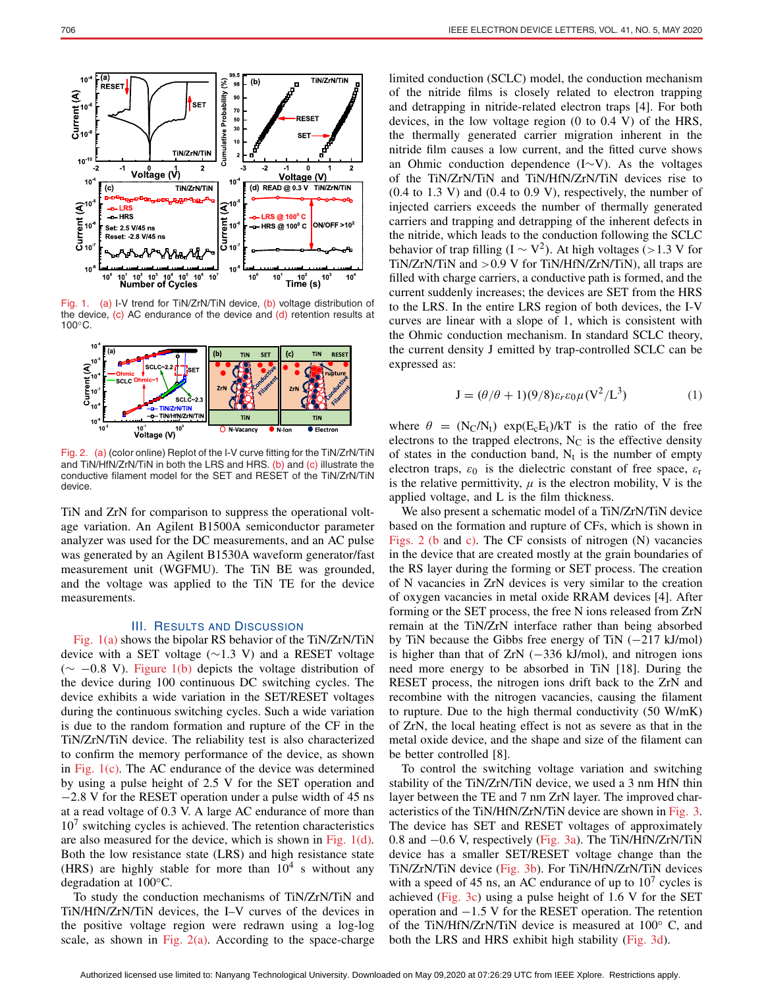

Fig. 1. (a) I-V trend for TiN/ZrN/TiN device, (b) voltage distribution of the device,  $(c)$  AC endurance of the device and  $(d)$  retention results at 100◦C.



Fig. 2. (a) (color online) Replot of the I-V curve fitting for the TiN/ZrN/TiN and TiN/HfN/ZrN/TiN in both the LRS and HRS. (b) and (c) illustrate the conductive filament model for the SET and RESET of the TiN/ZrN/TiN device.

TiN and ZrN for comparison to suppress the operational voltage variation. An Agilent B1500A semiconductor parameter analyzer was used for the DC measurements, and an AC pulse was generated by an Agilent B1530A waveform generator/fast measurement unit (WGFMU). The TiN BE was grounded, and the voltage was applied to the TiN TE for the device measurements.

#### III. RESULTS AND DISCUSSION

Fig. 1(a) shows the bipolar RS behavior of the TiN/ZrN/TiN device with a SET voltage (∼1.3 V) and a RESET voltage  $(∼ -0.8 V)$ . Figure 1(b) depicts the voltage distribution of the device during 100 continuous DC switching cycles. The device exhibits a wide variation in the SET/RESET voltages during the continuous switching cycles. Such a wide variation is due to the random formation and rupture of the CF in the TiN/ZrN/TiN device. The reliability test is also characterized to confirm the memory performance of the device, as shown in Fig.  $1(c)$ . The AC endurance of the device was determined by using a pulse height of 2.5 V for the SET operation and −2.8 V for the RESET operation under a pulse width of 45 ns at a read voltage of 0.3 V. A large AC endurance of more than  $10<sup>7</sup>$  switching cycles is achieved. The retention characteristics are also measured for the device, which is shown in Fig. 1(d). Both the low resistance state (LRS) and high resistance state (HRS) are highly stable for more than  $10^4$  s without any degradation at 100<sup>°</sup>C.

To study the conduction mechanisms of TiN/ZrN/TiN and TiN/HfN/ZrN/TiN devices, the I–V curves of the devices in the positive voltage region were redrawn using a log-log scale, as shown in Fig.  $2(a)$ . According to the space-charge limited conduction (SCLC) model, the conduction mechanism of the nitride films is closely related to electron trapping and detrapping in nitride-related electron traps [4]. For both devices, in the low voltage region (0 to 0.4 V) of the HRS, the thermally generated carrier migration inherent in the nitride film causes a low current, and the fitted curve shows an Ohmic conduction dependence (I∼V). As the voltages of the TiN/ZrN/TiN and TiN/HfN/ZrN/TiN devices rise to  $(0.4 \text{ to } 1.3 \text{ V})$  and  $(0.4 \text{ to } 0.9 \text{ V})$ , respectively, the number of injected carriers exceeds the number of thermally generated carriers and trapping and detrapping of the inherent defects in the nitride, which leads to the conduction following the SCLC behavior of trap filling (I  $\sim$  V<sup>2</sup>). At high voltages (>1.3 V for TiN/ZrN/TiN and >0.9 V for TiN/HfN/ZrN/TiN), all traps are filled with charge carriers, a conductive path is formed, and the current suddenly increases; the devices are SET from the HRS to the LRS. In the entire LRS region of both devices, the I-V curves are linear with a slope of 1, which is consistent with the Ohmic conduction mechanism. In standard SCLC theory, the current density J emitted by trap-controlled SCLC can be expressed as:

$$
\mathbf{J} = (\theta/\theta + 1)(9/8)\varepsilon_r \varepsilon_0 \mu (\mathbf{V}^2/\mathbf{L}^3)
$$
 (1)

where  $\theta = (N_C/N_t) \exp(E_c E_t)/kT$  is the ratio of the free electrons to the trapped electrons,  $N<sub>C</sub>$  is the effective density of states in the conduction band,  $N_t$  is the number of empty electron traps,  $\varepsilon_0$  is the dielectric constant of free space,  $\varepsilon_r$ is the relative permittivity,  $\mu$  is the electron mobility, V is the applied voltage, and L is the film thickness.

We also present a schematic model of a TiN/ZrN/TiN device based on the formation and rupture of CFs, which is shown in Figs. 2 (b and c). The CF consists of nitrogen (N) vacancies in the device that are created mostly at the grain boundaries of the RS layer during the forming or SET process. The creation of N vacancies in ZrN devices is very similar to the creation of oxygen vacancies in metal oxide RRAM devices [4]. After forming or the SET process, the free N ions released from ZrN remain at the TiN/ZrN interface rather than being absorbed by TiN because the Gibbs free energy of TiN (−217 kJ/mol) is higher than that of ZrN (−336 kJ/mol), and nitrogen ions need more energy to be absorbed in TiN [18]. During the RESET process, the nitrogen ions drift back to the ZrN and recombine with the nitrogen vacancies, causing the filament to rupture. Due to the high thermal conductivity (50 W/mK) of ZrN, the local heating effect is not as severe as that in the metal oxide device, and the shape and size of the filament can be better controlled [8].

To control the switching voltage variation and switching stability of the TiN/ZrN/TiN device, we used a 3 nm HfN thin layer between the TE and 7 nm ZrN layer. The improved characteristics of the TiN/HfN/ZrN/TiN device are shown in Fig. 3. The device has SET and RESET voltages of approximately 0.8 and −0.6 V, respectively (Fig. 3a). The TiN/HfN/ZrN/TiN device has a smaller SET/RESET voltage change than the TiN/ZrN/TiN device (Fig. 3b). For TiN/HfN/ZrN/TiN devices with a speed of 45 ns, an AC endurance of up to  $10^7$  cycles is achieved (Fig. 3c) using a pulse height of  $1.6$  V for the SET operation and −1.5 V for the RESET operation. The retention of the TiN/HfN/ZrN/TiN device is measured at 100◦ C, and both the LRS and HRS exhibit high stability (Fig. 3d).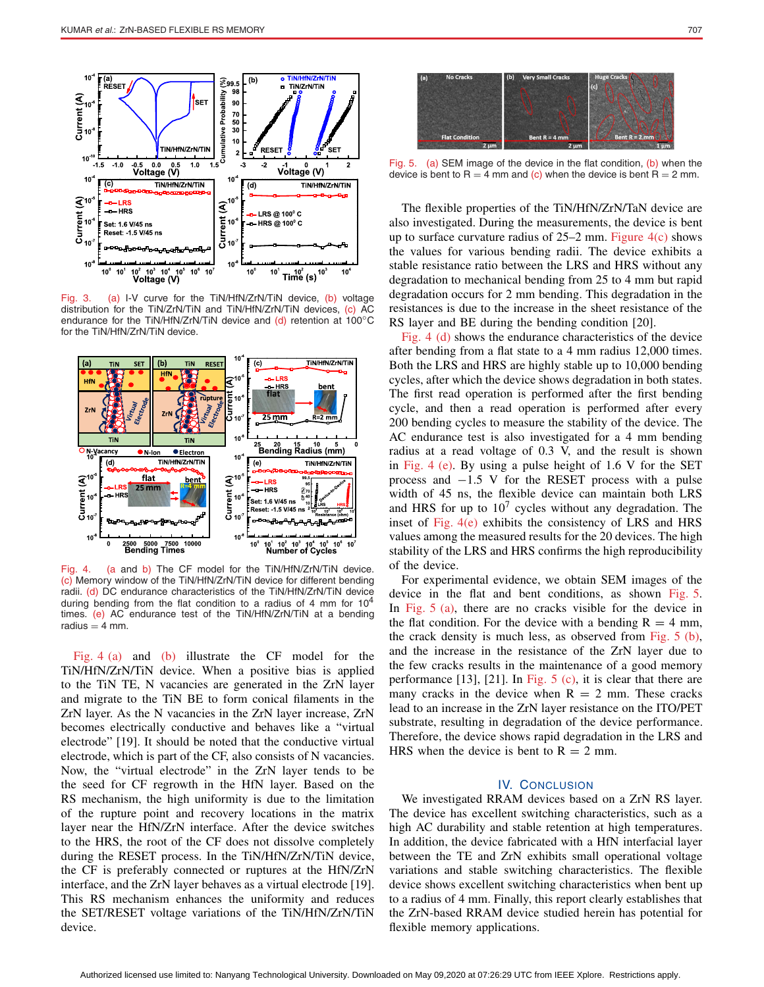

Fig. 3. (a) I-V curve for the TiN/HfN/ZrN/TiN device, (b) voltage distribution for the TiN/ZrN/TiN and TiN/HfN/ZrN/TiN devices, (c) AC endurance for the TiN/HfN/ZrN/TiN device and (d) retention at 100°C for the TiN/HfN/ZrN/TiN device.



Fig. 4. (a and b) The CF model for the TiN/HfN/ZrN/TiN device. (c) Memory window of the TiN/HfN/ZrN/TiN device for different bending radii. (d) DC endurance characteristics of the TiN/HfN/ZrN/TiN device during bending from the flat condition to a radius of 4 mm for 10<sup>4</sup> times. (e) AC endurance test of the TiN/HfN/ZrN/TiN at a bending radius  $=$  4 mm.

Fig. 4 (a) and (b) illustrate the CF model for the TiN/HfN/ZrN/TiN device. When a positive bias is applied to the TiN TE, N vacancies are generated in the ZrN layer and migrate to the TiN BE to form conical filaments in the ZrN layer. As the N vacancies in the ZrN layer increase, ZrN becomes electrically conductive and behaves like a "virtual electrode" [19]. It should be noted that the conductive virtual electrode, which is part of the CF, also consists of N vacancies. Now, the "virtual electrode" in the ZrN layer tends to be the seed for CF regrowth in the HfN layer. Based on the RS mechanism, the high uniformity is due to the limitation of the rupture point and recovery locations in the matrix layer near the HfN/ZrN interface. After the device switches to the HRS, the root of the CF does not dissolve completely during the RESET process. In the TiN/HfN/ZrN/TiN device, the CF is preferably connected or ruptures at the HfN/ZrN interface, and the ZrN layer behaves as a virtual electrode [19]. This RS mechanism enhances the uniformity and reduces the SET/RESET voltage variations of the TiN/HfN/ZrN/TiN device.

Fig. 5. (a) SEM image of the device in the flat condition, (b) when the device is bent to R = 4 mm and (c) when the device is bent R = 2 mm.

The flexible properties of the TiN/HfN/ZrN/TaN device are also investigated. During the measurements, the device is bent up to surface curvature radius of  $25-2$  mm. Figure  $4(c)$  shows the values for various bending radii. The device exhibits a stable resistance ratio between the LRS and HRS without any degradation to mechanical bending from 25 to 4 mm but rapid degradation occurs for 2 mm bending. This degradation in the resistances is due to the increase in the sheet resistance of the RS layer and BE during the bending condition [20].

Fig. 4 (d) shows the endurance characteristics of the device after bending from a flat state to a 4 mm radius 12,000 times. Both the LRS and HRS are highly stable up to 10,000 bending cycles, after which the device shows degradation in both states. The first read operation is performed after the first bending cycle, and then a read operation is performed after every 200 bending cycles to measure the stability of the device. The AC endurance test is also investigated for a 4 mm bending radius at a read voltage of 0.3 V, and the result is shown in Fig. 4 (e). By using a pulse height of 1.6 V for the SET process and  $-1.5$  V for the RESET process with a pulse width of 45 ns, the flexible device can maintain both LRS and HRS for up to  $10<sup>7</sup>$  cycles without any degradation. The inset of Fig. 4(e) exhibits the consistency of LRS and HRS values among the measured results for the 20 devices. The high stability of the LRS and HRS confirms the high reproducibility of the device.

For experimental evidence, we obtain SEM images of the device in the flat and bent conditions, as shown Fig. 5. In Fig. 5 (a), there are no cracks visible for the device in the flat condition. For the device with a bending  $R = 4$  mm, the crack density is much less, as observed from Fig. 5 (b), and the increase in the resistance of the ZrN layer due to the few cracks results in the maintenance of a good memory performance [13], [21]. In Fig. 5 (c), it is clear that there are many cracks in the device when  $R = 2$  mm. These cracks lead to an increase in the ZrN layer resistance on the ITO/PET substrate, resulting in degradation of the device performance. Therefore, the device shows rapid degradation in the LRS and HRS when the device is bent to  $R = 2$  mm.

### IV. CONCLUSION

We investigated RRAM devices based on a ZrN RS layer. The device has excellent switching characteristics, such as a high AC durability and stable retention at high temperatures. In addition, the device fabricated with a HfN interfacial layer between the TE and ZrN exhibits small operational voltage variations and stable switching characteristics. The flexible device shows excellent switching characteristics when bent up to a radius of 4 mm. Finally, this report clearly establishes that the ZrN-based RRAM device studied herein has potential for flexible memory applications.